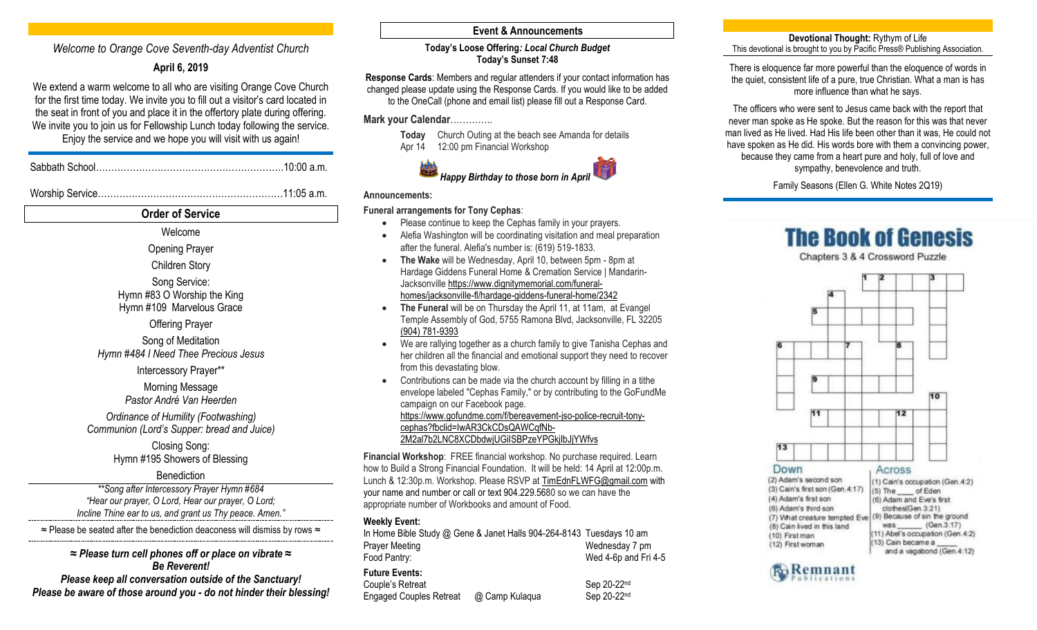# *Welcome to Orange Cove Seventh-day Adventist Church*

## **April 6, 2019**

We extend a warm welcome to all who are visiting Orange Cove Church for the first time today. We invite you to fill out a visitor's card located in the seat in front of you and place it in the offertory plate during offering. We invite you to join us for Fellowship Lunch today following the service. Enjoy the service and we hope you will visit with us again!

Sabbath School…………………………………………………….10:00 a.m.

Worship Service……………………………………………………11:05 a.m.

**Order of Service** Welcome Opening Prayer Children Story Song Service: Hymn #83 O Worship the King Hymn #109 Marvelous Grace Offering Prayer Song of Meditation *Hymn #484 I Need Thee Precious Jesus* Intercessory Prayer\*\* Morning Message *Pastor André Van Heerden Ordinance of Humility (Footwashing) Communion (Lord's Supper: bread and Juice)* Closing Song: Hymn #195 Showers of Blessing **Benediction** *\*\*Song after Intercessory Prayer Hymn #684 "Hear our prayer, O Lord, Hear our prayer, O Lord; Incline Thine ear to us, and grant us Thy peace. Amen."*  ≈ Please be seated after the benediction deaconess will dismiss by rows ≈ *≈ Please turn cell phones off or place on vibrate ≈ Be Reverent! Please keep all conversation outside of the Sanctuary! Please be aware of those around you - do not hinder their blessing!* 

## **Event & Announcements**

#### **Today's Loose Offering***: Local Church Budget* **Today's Sunset 7:48**

**Response Cards**: Members and regular attenders if your contact information has changed please update using the Response Cards. If you would like to be added to the OneCall (phone and email list) please fill out a Response Card.

## **Mark your Calendar**…………..





#### **Announcements:**

## **Funeral arrangements for Tony Cephas**:

- Please continue to keep the Cephas family in your prayers.
- Alefia Washington will be coordinating visitation and meal preparation after the funeral. Alefia's number is: (619) 519-1833.
- **The Wake** will be Wednesday, April 10, between 5pm 8pm at Hardage Giddens Funeral Home & Cremation Service | Mandarin-Jacksonville [https://www.dignitymemorial.com/funeral](https://www.dignitymemorial.com/funeral-homes/jacksonville-fl/hardage-giddens-funeral-home/2342)[homes/jacksonville-fl/hardage-giddens-funeral-home/2342](https://www.dignitymemorial.com/funeral-homes/jacksonville-fl/hardage-giddens-funeral-home/2342)
- **The Funeral** will be on Thursday the April 11, at 11am, at Evangel Temple Assembly of God, 5755 Ramona Blvd, Jacksonville, FL 32205 [\(904\) 781-9393](tel:(904)%20781-9393)
- We are rallying together as a church family to give Tanisha Cephas and her children all the financial and emotional support they need to recover from this devastating blow.
- Contributions can be made via the church account by filling in a tithe envelope labeled "Cephas Family," or by contributing to the GoFundMe campaign on our Facebook page. [https://www.gofundme.com/f/bereavement-jso-police-recruit-tony](https://www.gofundme.com/f/bereavement-jso-police-recruit-tony-cephas?fbclid=IwAR3CkCDsQAWCqfNb-2M2al7b2LNC8XCDbdwjUGiISBPzeYPGkjIbJjYWfvs)[cephas?fbclid=IwAR3CkCDsQAWCqfNb-](https://www.gofundme.com/f/bereavement-jso-police-recruit-tony-cephas?fbclid=IwAR3CkCDsQAWCqfNb-2M2al7b2LNC8XCDbdwjUGiISBPzeYPGkjIbJjYWfvs)[2M2al7b2LNC8XCDbdwjUGiISBPzeYPGkjIbJjYWfvs](https://www.gofundme.com/f/bereavement-jso-police-recruit-tony-cephas?fbclid=IwAR3CkCDsQAWCqfNb-2M2al7b2LNC8XCDbdwjUGiISBPzeYPGkjIbJjYWfvs)

**Financial Workshop**: FREE financial workshop. No purchase required. Learn how to Build a Strong Financial Foundation. It will be held: 14 April at 12:00p.m. Lunch & 12:30p.m. Workshop. Please RSVP at [TimEdnFLWFG@gmail.com](mailto:TimEdnFLWFG@gmail.com) with your name and number or call or text 904.229.5680 so we can have the appropriate number of Workbooks and amount of Food.

#### **Weekly Event:**

|                                | In Home Bible Study @ Gene & Janet Halls 904-264-8143 Tuesdays 10 am |                      |
|--------------------------------|----------------------------------------------------------------------|----------------------|
| <b>Prayer Meeting</b>          |                                                                      | Wednesday 7 pm       |
| Food Pantry:                   |                                                                      | Wed 4-6p and Fri 4-5 |
| <b>Future Events:</b>          |                                                                      |                      |
| Couple's Retreat               |                                                                      | Sep 20-22nd          |
| <b>Engaged Couples Retreat</b> | @ Camp Kulaqua                                                       | Sep 20-22nd          |

#### **Devotional Thought:** Rythym of Life This devotional is brought to you by Pacific Press® Publishing Association.

There is eloquence far more powerful than the eloquence of words in the quiet, consistent life of a pure, true Christian. What a man is has more influence than what he says.

The officers who were sent to Jesus came back with the report that never man spoke as He spoke. But the reason for this was that never man lived as He lived. Had His life been other than it was, He could not have spoken as He did. His words bore with them a convincing power, because they came from a heart pure and holy, full of love and sympathy, benevolence and truth.

Family Seasons (Ellen G. White Notes 2Q19)

# **The Book of Genesis**

Chapters 3 & 4 Crossword Puzzle